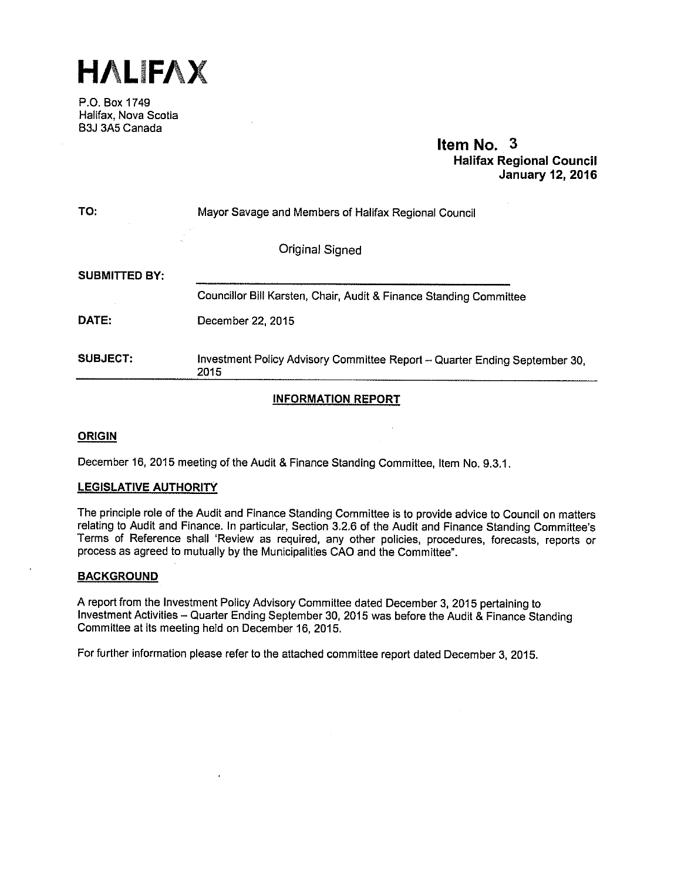

P.O. Box 1749 Halifax, Nova Scotia B3J 3A5 Canada

# Item No. 3 Halifax Regional Council January 12,2016

| TO:                  | Mayor Savage and Members of Halifax Regional Council                               |
|----------------------|------------------------------------------------------------------------------------|
|                      | Original Signed                                                                    |
| <b>SUBMITTED BY:</b> |                                                                                    |
|                      | Councillor Bill Karsten, Chair, Audit & Finance Standing Committee                 |
| DATE:                | December 22, 2015                                                                  |
| <b>SUBJECT:</b>      | Investment Policy Advisory Committee Report - Quarter Ending September 30,<br>2015 |

# INFORMATION REPORT

# ORIGIN

December 16, 2015 meeting of the Audit & Finance Standing Committee, Item No. 9.3.1.

#### LEGISLATIVE AUTHORITY

The principle role of the Audit and Finance Standing Committee is to provide advice to Council on matters relating to Audit and Finance. In particular, Section 3.2.6 of the Audit and Finance Standing Committee's Terms of Reference shall 'Review as required, any other policies, procedures, forecasts, reports or process as agreed to mutually by the Municipalities CAO and the Committee".

#### **BACKGROUND**

<sup>A</sup> report from the Investment Policy Advisory Committee dated December 3, 2015 pertaining to Investment Activities — Quarter Ending September 30, <sup>2015</sup> was before the Audit & Finance Standing Committee at its meeting held on December 16, 2015.

For further information please refer to the attached committee report dated December 3, 2015.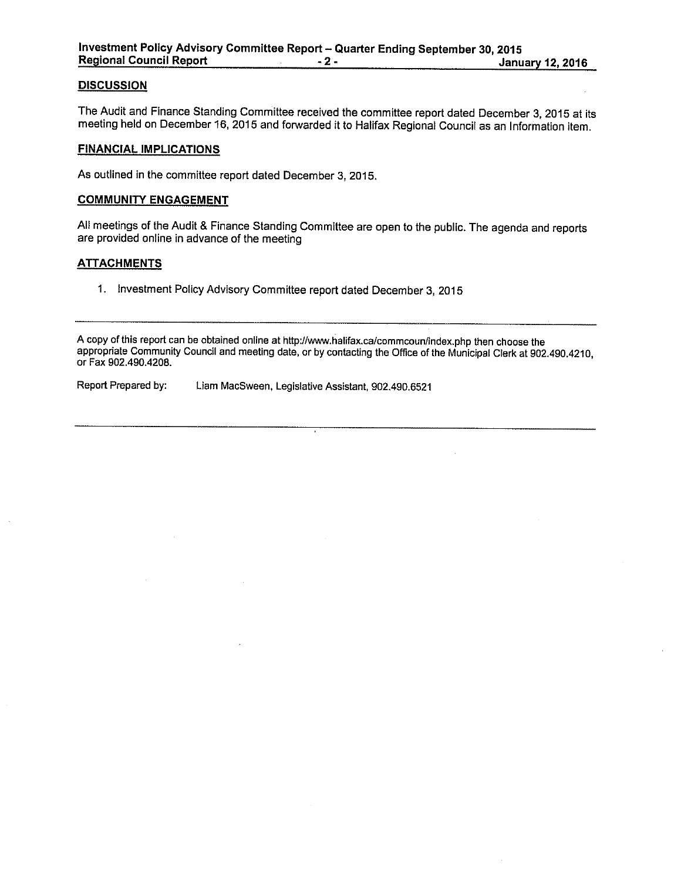#### **DISCUSSION**

The Audit and Finance Standing Committee received the committee report dated December 3, <sup>2015</sup> at its meeting held on December 16, 2015 and forwarded it to Halifax Regional Council as an Information item.

#### FINANCIAL IMPLICATIONS

As outlined in the committee report dated December 3, 2015.

## COMMUNITY ENGAGEMENT

AU meetings of the Audit & Finance Standing Committee are open to the public. The agenda and reports are provided online in advance of the meeting

#### **ATTACHMENTS**

1. Investment Policy Advisory Committee report dated December 3, <sup>2015</sup>

<sup>A</sup> copy of this report can be obtained online at http://wnw.halifax.ca/commcoun/index.php then choose the appropriate Community Council and meeting date, or by contacting the Office of the Municipal Clerk at 902.490.4210, or Fax 902.490.4208.

Report Prepared by: Liam MacSween, Legislative Assistant, 902.490.6521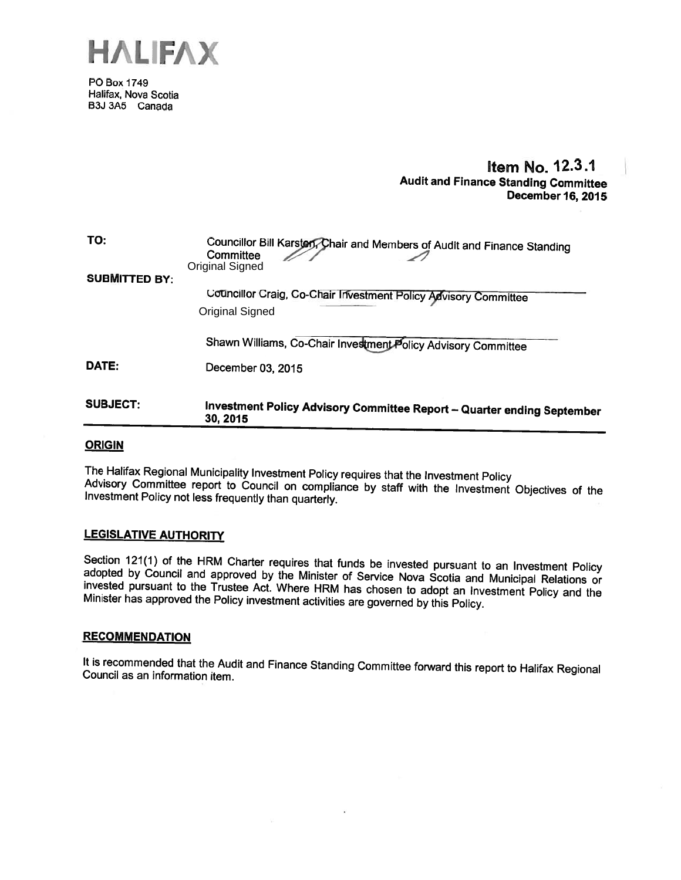

PD Box 1749 Halifax, Nova Scotia B3J 3A5 Canada

# Item No. 12.3.1 Audit and Finance Standing Committee December 16, 2015

| <b>SUBJECT:</b>      | Investment Policy Advisory Committee Report - Quarter ending September<br>30, 2015                      |
|----------------------|---------------------------------------------------------------------------------------------------------|
| DATE:                | December 03, 2015                                                                                       |
|                      | Shawn Williams, Co-Chair Investment Policy Advisory Committee                                           |
|                      | Original Signed                                                                                         |
| <b>SUBMITTED BY:</b> | Councillor Craig, Co-Chair Investment Policy Advisory Committee                                         |
| TO:                  | Councillor Bill Karsten Chair and Members of Audit and Finance Standing<br>Committee<br>Original Signed |

## **ORIGIN**

The Halifax Regional Municipality Investment Policy requires that the Investment Policy<br>Advisory Committee report to Council on compliance by staff with the Investment Objectives of the<br>Investment Policy not less frequentl

#### LEGISLATIVE AUTHORITY

Section 121(1) of the HRM Charter requires that funds be invested pursuant to an Investment Policy adopted by Council and approved by the Minister of Service Nova Scotia and Municipal Relations or invested pursuant to the

#### **RECOMMENDATION**

It is recommended that the Audit and Finance Standing Committee forward this report to Halifax Regional Council as an information item.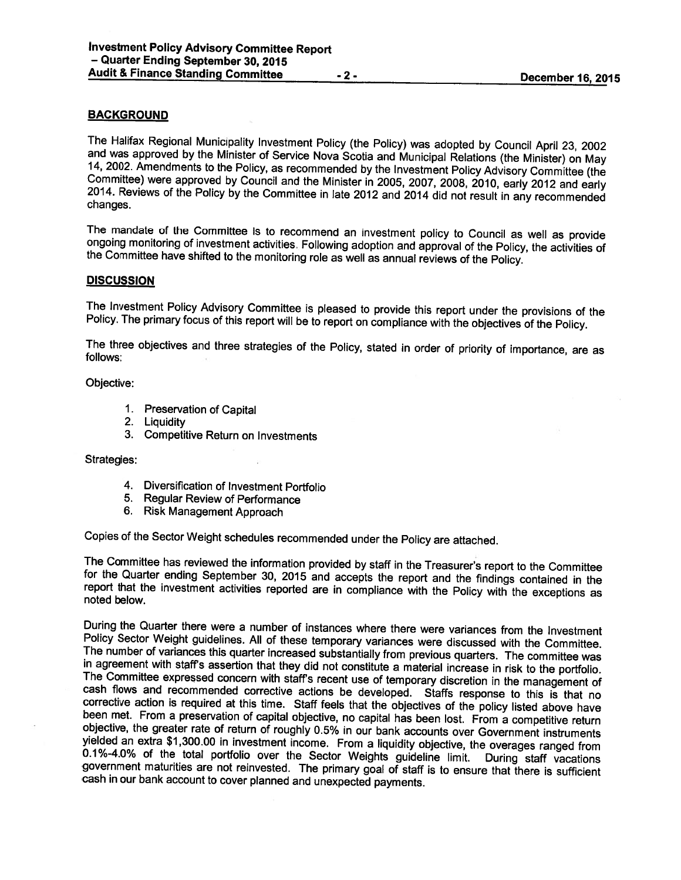# BACKGROUND

The Halifax Regional Municipality Investment Policy (the Policy) was adopted by Council April 23, 2002<br>and was approved by the Minister of Service Nova Scotia and Municipal Relations (the Minister) on May<br>14, 2002. Amendme

The mandate of the Committee is to recommend an investment policy to Council as well as provide ongoing monitoring of investment activities. Following adoption and approval of the Policy, the activities of the Committee ha

#### **DISCUSSION**

The Investment Policy Advisory Committee is <sup>p</sup>leased to provide this report under the provisions of the Policy. The primary focus of this report will be to report on compliance with the objectives of the Policy.

The three objectives and three strategies of the Policy, stated in order of priority of importance, are as follows:

Objective:

- 1. Preservation of Capital
- 2. Liquidity
- 3. Competitive Return on Investments

Strategies:

- 4. Diversification of Investment Portfolio
- 5. Regular Review of Performance
- 6. Risk Management Approach

Copies of the Sector Weight schedules recommended under the Policy are attached.

The Committee has reviewed the information provided by staff in the Treasurer's report to the Committee for the Quarter ending September 30, 2015 and accepts the report and the findings contained in the report that the inv

During the Quarter there were a number of instances where there were variances from the Investment<br>Policy Sector Weight guidelines. All of these temporary variances were discussed with the Committee.<br>The number of variance 0.1%-4.0% of the total portfolio over the Sector Weights guideline limit. During staff vacations government maturities are not reinvested. The primary goal of staff is to ensure that there is sufficient cash in our bank ac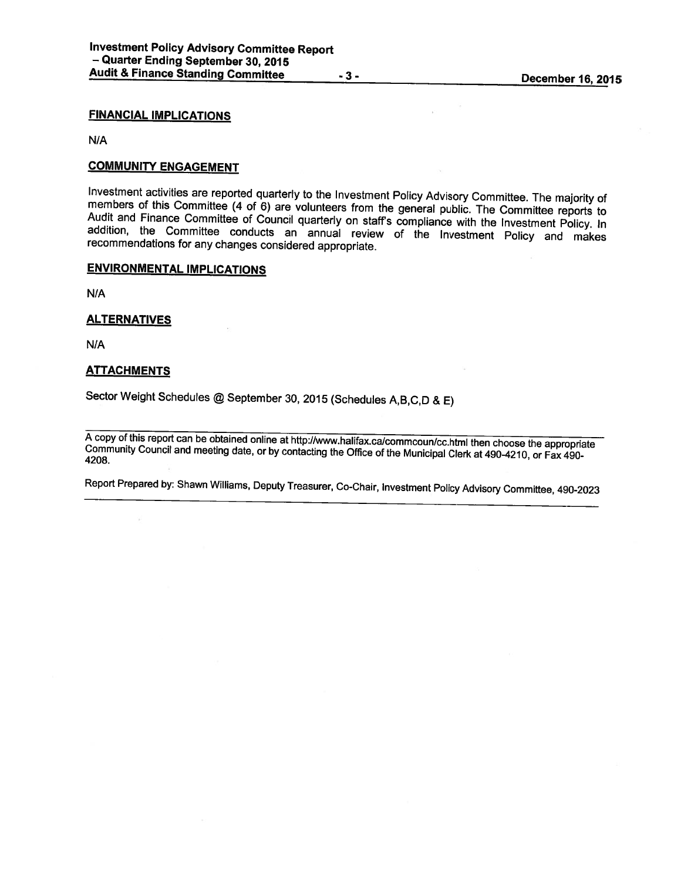#### FINANCIAL IMPLICATIONS

N/A

## COMMUNITY ENGAGEMENT

Investment activities are reported quarterly to the Investment Policy Advisory Committee. The majority of members of this Committee (4 of 6) are volunteers from the general public. The Committee reports to Audit and Financ

#### ENVIRONMENTAL IMPLICATIONS

N/A

## **ALTERNATIVES**

N/A

## **ATTACHMENTS**

Sector Weight Schedules @ September 30, <sup>2015</sup> (Schedules A,B,C,D & E)

A copy of this report can be obtained online at http://www.halifax.ca/commcoun/cc.html then choose the appropriate<br>Community Council and meeting date, or by contacting the Office of the Municipal Clerk at 490-4210, or Fax

Report Prepared by: Shawn Williams, Deputy Treasurer, Co-Chair, Investment Policy Advisory Committee, 490-2023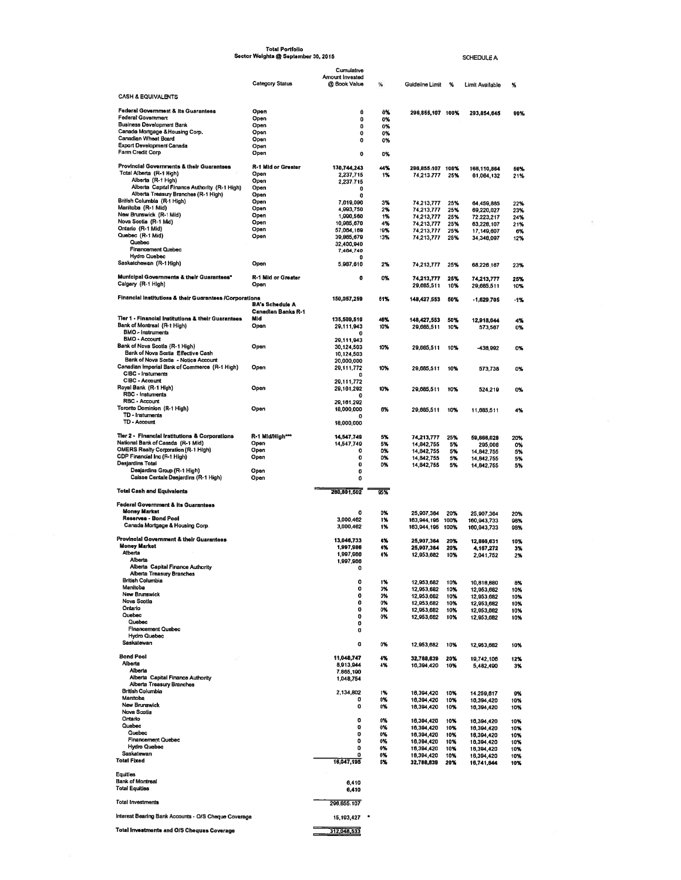|                                                                                       | <b>Total Portfolio</b><br>Sector Weights @ September 30, 2015 |                                 |            |                                |            | SCHEDULE A                |            |
|---------------------------------------------------------------------------------------|---------------------------------------------------------------|---------------------------------|------------|--------------------------------|------------|---------------------------|------------|
|                                                                                       |                                                               | Cumulative                      |            |                                |            |                           |            |
|                                                                                       | <b>Category Status</b>                                        | Amount Invested<br>@ Book Value | ×          | Guideline Limit                | ₩          | Limit Available           | %          |
| <b>CASH &amp; EQUIVALENTS</b>                                                         |                                                               |                                 |            |                                |            |                           |            |
| <b>Federal Government &amp; Its Guarantees</b>                                        | Open                                                          | o                               | 0%         | 296,855,107 100%               |            | 293,854,645               | 99%        |
| <b>Federal Government</b>                                                             | Open                                                          | 0                               | 0%         |                                |            |                           |            |
| <b>Business Development Bank</b><br>Canada Mortgage & Housing Corp.                   | Open<br>Open                                                  | 0<br>o                          | 0%<br>0%   |                                |            |                           |            |
| Canadian Wheat Board                                                                  | Open                                                          | 0                               | 0%         |                                |            |                           |            |
| Export Development Canada<br>Farm Credit Corp                                         | Open<br>Open                                                  | 0                               | 0%         |                                |            |                           |            |
|                                                                                       |                                                               |                                 |            |                                |            |                           |            |
| Provincial Governments & their Guarantees<br>Total Alberta (R-1 High)                 | <b>R-1 Mid or Greater</b><br>Open                             | 130,744,243<br>2,237,715        | 44%<br>1%  | 296,855,107 100%<br>74,213,777 | 25%        | 166,110,864<br>61,064,132 | 56%<br>21% |
| Alberta (R-1 High)                                                                    | Open                                                          | 2,237.715                       |            |                                |            |                           |            |
| Alberta Capital Finance Authority (R-1 High)<br>Alberta Treasury Branches (R-1 High)  | Open<br>Open                                                  | o<br>0                          |            |                                |            |                           |            |
| British Columbia (R-1 High)                                                           | Open                                                          | 7,619,090                       | 3%         | 74,213,777                     | 25%        | 64,459,885                | 22%        |
| Manitoba (R-1 Mid)<br>New Brunswick (R-1 Mid)                                         | Open<br>Open                                                  | 4,993,750<br>1,990,560          | 2%<br>1%   | 74,213,777                     | 25%        | 69,220,027                | 23%        |
| Nova Scotia (R-1 Mid)                                                                 | Open                                                          | 10,985,670                      | 4%         | 74,213,777<br>74,213,777       | 25%<br>25% | 72,223,217<br>63,228,107  | 24%<br>21% |
| Ontario (R-1 Mid)<br>Quebec (R-1 Mid)                                                 | Open<br>Open                                                  | 57,064,169<br>39,865,679        | 19%        | 74,213,777                     | 25%        | 17,149,607                | 6%         |
| Quebec                                                                                |                                                               | 32,400,940                      | 13%        | 74,213,777                     | 25%        | 34,348,097                | 12%        |
| <b>Financement Quebec</b><br><b>Hydro Quebec</b>                                      |                                                               | 7,464,740<br>۵                  |            |                                |            |                           |            |
| Saskatchewan (R-1 High)                                                               | Open                                                          | 5,987,610                       | 2%         | 74,213,777                     | 25%        | 68,226 167                | 23%        |
| Municipal Governments & their Guarantees"                                             | R-1 Mid or Greater                                            | o                               |            |                                |            |                           |            |
| Calgary (R-1 High)                                                                    | Open                                                          |                                 | 0%         | 74,213,777<br>29,665,511       | 25%<br>10% | 74,213,777<br>29,665,511  | 25%<br>10% |
| Financial Institutions & their Guarantees /Corporations                               |                                                               |                                 |            |                                |            |                           |            |
|                                                                                       | <b>BA's Schedule A</b>                                        | 150,057,259                     | 51%        | 148,427,553                    | 50%        | $-1.629.705$              | $-1%$      |
| Ter 1 - Financial Institutions & their Guarantees                                     | <b>Canadian Banks R-1</b><br>Mid                              | 135,509,510                     |            |                                |            |                           |            |
| Bank of Montreal (R-1 High)                                                           | Open                                                          | 29,111,943                      | 46%<br>10% | 148,427,553<br>29,685,511      | 50%<br>10% | 12,918,044<br>573,567     | 4%<br>0%   |
| BMO - Instruments<br><b>BMO - Account</b>                                             |                                                               | 0                               |            |                                |            |                           |            |
| Bank of Nova Scotia (R-1 High)                                                        | Open                                                          | 29,111,943<br>30,124,503        | 10%        | 29,665,511                     | 10%        | -438,992                  | 0%         |
| Bank of Nova Scotia Effective Cash                                                    |                                                               | 10,124,503                      |            |                                |            |                           |            |
| Bank of Nova Scotia - Notice Account<br>Canadian Imperial Bank of Commerce (R-1 High) | Open                                                          | 20,000,000<br>29,111,772        | 10%        | 29,685,511                     | 10%        | 573,738                   | 0%         |
| CIBC - Instuments                                                                     |                                                               | n                               |            |                                |            |                           |            |
| CIBC - Account<br>Royal Bank (R-1 High)                                               | Open                                                          | 29,111,772<br>29,161,292        | 10%        | 29,685,511                     | 10%        | 524,219                   | 0%         |
| RBC - Instuments                                                                      |                                                               | o                               |            |                                |            |                           |            |
| <b>RBC - Account</b><br>Toronto Dominion (R-1 High)                                   | Open                                                          | 29,161,292<br>18,000,000        | 6%         | 29,685,511                     | 10%        | 11,685,511                | 4%         |
| TD - Instuments                                                                       |                                                               | o                               |            |                                |            |                           |            |
| TD - Account                                                                          |                                                               | 18,000,000                      |            |                                |            |                           |            |
| Tier 2 - Financial Institutions & Corporations                                        | R-1 Mid/High***                                               | 14,547,749                      | 5%         | 74,213,777                     | 25%        | 59,666,028                | 20%        |
| National Bank of Canada (R-1 Mid)<br><b>OMERS Realty Corporation (R-1 High)</b>       | Open<br>Open                                                  | 14,547,749<br>0                 | 5%<br>0%   | 14,842,755<br>14,842,755       | 5%<br>5%   | 295,006                   | 0%         |
| CDP Financial Inc (R-1 High)                                                          | Open                                                          | 0                               | 0%         | 14,842,755                     | 5%         | 14,842,755<br>14,842,755  | 5%<br>5%   |
| <b>Desjardins Total</b><br>Desjardins Group (R-1 High)                                | Open                                                          | $\bf{0}$<br>$\mathbf{0}$        | 0%         | 14,842,755                     | 5%         | 14,842,755                | 5%         |
| Caisse Centale Desjardins (R-1 High)                                                  | Open                                                          | 0                               |            |                                |            |                           |            |
| <b>Total Cash and Equivalents</b>                                                     |                                                               | 280,801,502                     | 95%        |                                |            |                           |            |
|                                                                                       |                                                               |                                 |            |                                |            |                           |            |
| <b>Federal Government &amp; its Guarantees</b><br><b>Money Market</b>                 |                                                               | 0                               | 0%         | 25,907,364                     | 20%        | 25,907,364                | 20%        |
| Reserves - Bond Pool                                                                  |                                                               | 3,000,462                       | 1%         | 163,944,195                    | 100%       | 160,943,733               | 98%        |
| Canada Mortgage & Housing Corp.                                                       |                                                               | 3,000,462                       | 1%         | 163,944,195 100%               |            | 160,943,733               | 98%        |
| <b>Provincial Government &amp; their Guarantees</b>                                   |                                                               | 13,046,733                      | - 76       | 25,907,364                     | 20%        | 12,860,631                | 10%        |
| <b>Money Market</b><br>Alberta                                                        |                                                               | 1,997,986<br>1,997,986          | 4%<br>4%   | 25,907,364<br>12,953,682       | 20%        | 4,167,272                 | 3%         |
| Alberta                                                                               |                                                               | 1,997,986                       |            |                                | 10%        | 2,041,752                 | 2%         |
| Alberta Capital Finance Authority<br><b>Alberta Treasury Branches</b>                 |                                                               | o                               |            |                                |            |                           |            |
| <b>British Columbia</b>                                                               |                                                               | 0                               | 1%         | 12,953,682                     | 10%        | 10,818,880                | 8%         |
| Manitoba<br><b>New Brunswick</b>                                                      |                                                               | 0<br>0                          | 0%<br>0%   | 12,953,682                     | 10%        | 12,953,682                | 10%        |
| Nova Scotia                                                                           |                                                               | 0                               | 0%         | 12,953,682<br>12,953,682       | 10%<br>10% | 12,953.682<br>12,953,682  | 10%<br>10% |
| Ontario<br>Quebec                                                                     |                                                               | 0<br>0                          | 0%<br>0%   | 12,953,682<br>12,953,682       | 10%<br>10% | 12,953,682                | 10%<br>10% |
| Quebec                                                                                |                                                               | 0                               |            |                                |            | 12,953,682                |            |
| <b>Financement Quebec</b><br><b>Hydro Quebec</b>                                      |                                                               | o                               |            |                                |            |                           |            |
| Saskatewan                                                                            |                                                               | 0                               | 0%         | 12,953,682                     | 10%        | 12,953,682                | 10%        |
| <b>Bond Pool</b>                                                                      |                                                               | 11,048,747                      | 4%         |                                |            |                           |            |
| Alberta                                                                               |                                                               | 8,913,944                       | 4%         | 32,788,839<br>16,394,420       | 20%<br>10% | 19,742,106<br>5,482,490   | 12%<br>3%  |
| Alberta<br>Alberta Capital Finance Authority                                          |                                                               | 7,865,190                       |            |                                |            |                           |            |
| <b>Alberta Treasury Branches</b>                                                      |                                                               | 1,048,754                       |            |                                |            |                           |            |
| <b>British Columbia</b><br>Manitoba                                                   |                                                               | 2,134,802<br>o                  | 1%         | 16,394,420                     | 10%        | 14,259,617                | 9%         |
| <b>New Brunswick</b>                                                                  |                                                               | o                               | 0%<br>0%   | 16,394,420<br>16,394,420       | 10%<br>10% | 18,394,420<br>16,394,420  | 10%<br>10% |
| Nova Scotia<br>Ontario                                                                |                                                               | o                               |            |                                |            |                           |            |
| Quebec                                                                                |                                                               | 0                               | 0%<br>0%   | 16,394,420<br>16,394,420       | 10%<br>10% | 16,394,420<br>16,394,420  | 10%<br>10% |
| Quebec<br><b>Financement Quebec</b>                                                   |                                                               | 0                               | 0%         | 16,394,420                     | 10%        | 16,394,420                | 10%        |
| <b>Hydro Quebec</b>                                                                   |                                                               | 0<br>o                          | 0%<br>0%   | 16,394,420<br>16,394,420       | 10%<br>10% | 16,394,420<br>16,394,420  | 10%<br>10% |
| Saskatewan<br><b>Total Fixed</b>                                                      |                                                               | o                               | 0%         | 16,394,420                     | 10%        | 16,394,420                | 10%        |
|                                                                                       |                                                               | 16,047,195                      | 5%         | 32,788,839                     | 20%        | 16,741,644                | 10%        |
| Equities<br><b>Bank of Montreal</b>                                                   |                                                               |                                 |            |                                |            |                           |            |
| <b>Total Equities</b>                                                                 |                                                               | 6,410<br>6,410                  |            |                                |            |                           |            |
| Total Investments                                                                     |                                                               | 296,855,107                     |            |                                |            |                           |            |
|                                                                                       |                                                               |                                 |            |                                |            |                           |            |
| Interest Bearing Bank Accounts - O/S Cheque Coverage                                  |                                                               | 15, 193, 427                    |            |                                |            |                           |            |
| <b>Total Investments and O/S Cheques Coverage</b>                                     |                                                               | 312,048,533                     |            |                                |            |                           |            |

 $\label{eq:3.1} \begin{array}{ll} \mathcal{B} & \mathcal{B} \\ \mathcal{B} & \mathcal{B} \end{array}$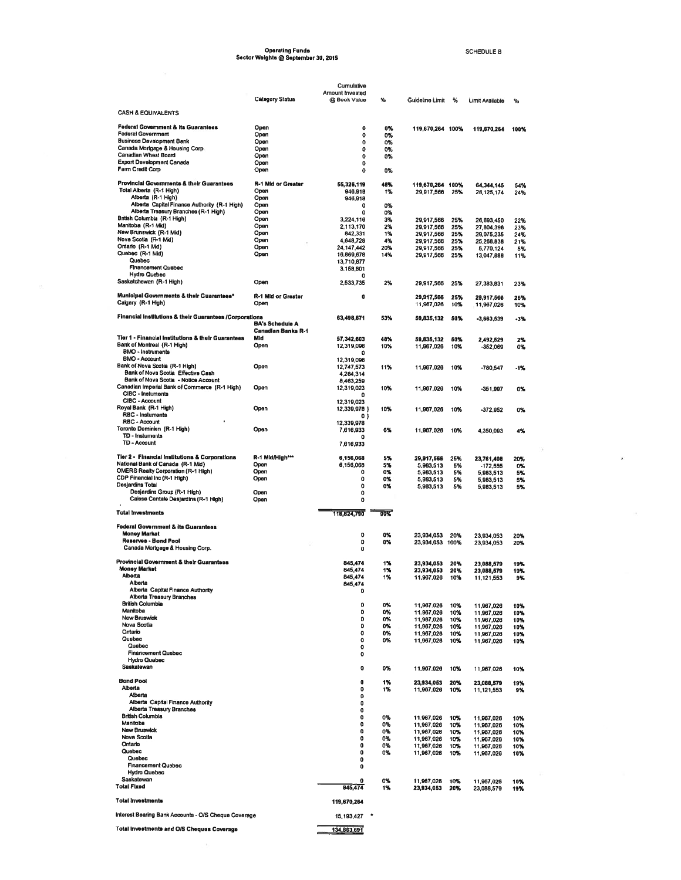# Operating Funds<br>Sector Weights @ September 30, 2015

SCHEDULE B

 $\overline{10}$  . <br> <br> <br> <br> <br> <br> <br> <br> <br> <br> <br><br><br><br><br><br><br><br><br><br><br><br><br><br><br><br><br><br><br><br><br><br><br><br><br><br><br><br><br><br>

 $\bar{\mathbf{x}}$ 

|                                                                            | <b>Category Status</b>           | Cumulative<br>Amount Invested<br>@ Book Value | %         | Guideline Limit          | %          |                          |            |
|----------------------------------------------------------------------------|----------------------------------|-----------------------------------------------|-----------|--------------------------|------------|--------------------------|------------|
| <b>CASH &amp; EQUIVALENTS</b>                                              |                                  |                                               |           |                          |            | <b>Limit Available</b>   | %          |
| <b>Federal Government &amp; its Guarantees</b>                             | Open                             | 0                                             | 0%        |                          |            |                          |            |
| <b>Federal Government</b>                                                  | Open                             | 0                                             | 0%        | 119,670,264 100%         |            | 119,670,264              | 100%       |
| <b>Business Development Bank</b><br>Canada Mortgage & Housing Corp.        | Open<br>Open                     | 0                                             | 0%        |                          |            |                          |            |
| Canadian Wheat Board                                                       | Open                             | 0<br>0                                        | 0%<br>0%  |                          |            |                          |            |
| <b>Export Development Canada</b>                                           | Ореп                             | 0                                             |           |                          |            |                          |            |
| Farm Credit Corp                                                           | Open                             | $\bf{0}$                                      | 0%        |                          |            |                          |            |
| Provincial Governments & their Guarantees                                  | R-1 Mid or Greater               | 55,326,119                                    | 46%       | 119,670,264 100%         |            | 64,344,145               | 54%        |
| Total Alberta (R-1 High)<br>Alberta (R-1 High)                             | Open<br>Open                     | 946,918<br>946,918                            | 1%        | 29,917,566               | 25%        | 26,125,174               | 24%        |
| Alberta Capital Finance Authority (R-1 High)                               | Open                             | 0                                             | 0%        |                          |            |                          |            |
| Alberta Treasury Branches (R-1 High)<br>British Columbia (R-1 High)        | Open<br>Open                     | $\Omega$<br>3,224,116                         | 0%<br>3%  | 29,917,566               | 25%        | 26,693,450               |            |
| Manitoba (R-1 Mid)                                                         | Open                             | 2,113,170                                     | 2%        | 29,917,566               | 25%        | 27,804,396               | 22%<br>23% |
| New Brunswick (R-1 Mid)<br>Nova Scotia (R-1 Mid)                           | Open<br>Open                     | 842.331                                       | 1%        | 29,917,566               | 25%        | 29,075,235               | 24%        |
| Ontario (R-1 Mid)                                                          | Open                             | 4,648,728<br>24,147,442                       | 4%<br>20% | 29,917,566<br>29,917,566 | 25%<br>25% | 25,268,838<br>5,770,124  | 21%<br>5%  |
| Quebec (R-1 Mid)                                                           | Open                             | 16,869,678                                    | 14%       | 29,917,566               | 25%        | 13,047,888               | 11%        |
| Quebec<br><b>Financement Quebec</b>                                        |                                  | 13,710,877<br>3,158,801                       |           |                          |            |                          |            |
| <b>Hydro Quebec</b>                                                        |                                  | o                                             |           |                          |            |                          |            |
| Saskatchewan (R-1 High)                                                    | Open                             | 2,533,735                                     | 2%        | 29,917,566               | 25%        | 27,383,831               | 23%        |
| Municipal Governments & their Guarantees*                                  | R-1 Mid or Greater               | 0                                             |           | 29,917,566               | 25%        | 29,917,566               | 25%        |
| Calgary (R-1 High)                                                         | Open                             |                                               |           | 11,967,026               | 10%        | 11,967,026               | 10%        |
| Financial Institutions & their Guarantees /Corporations                    |                                  | 63,498,671                                    | 53%       | 59,835,132               | 50%        | $-3,663,539$             | -3%        |
|                                                                            | <b>BA's Schedule A</b>           |                                               |           |                          |            |                          |            |
| Tier 1 - Financial Institutions & their Guarantees                         | <b>Canadian Banks R-1</b><br>Mid | 57,342,603                                    | 48%       | 59,835,132               | 50%        | 2,492,529                | 2%         |
| Bank of Montreal (R-1 High)                                                | Open                             | 12,319,096                                    | 10%       | 11,967,026               | 10%        | $-352,069$               | 0%         |
| <b>BMO - Instruments</b><br><b>BMO - Account</b>                           |                                  | 12,319,096                                    |           |                          |            |                          |            |
| Bank of Nova Scotia (R-1 High)                                             | Open                             | 12,747,573                                    | 11%       | 11,967,026               | 10%        | $-780,547$               | -1%        |
| Bank of Nova Scotia Effective Cash<br>Bank of Nova Scotia - Notice Account |                                  | 4,284,314                                     |           |                          |            |                          |            |
| Canadian Imperial Bank of Commerce (R-1 High)                              | Open                             | 8,463,259<br>12,319,023                       | 10%       | 11,967,026               | 10%        | -351,997                 | 0%         |
| CIBC - Instuments                                                          |                                  | O                                             |           |                          |            |                          |            |
| CIBC - Account<br>Royal Bank (R-1 High)                                    | Open                             | 12,319,023<br>12,339,978 }                    | 10%       | 11,967,026               | 10%        |                          |            |
| <b>RBC - Instuments</b>                                                    |                                  | 0)                                            |           |                          |            | -372,952                 | 0%         |
| <b>RBC - Account</b><br>Toronto Dominion (R-1 High)                        |                                  | 12,339,978                                    |           |                          |            |                          |            |
| TD - Instuments                                                            | Open                             | 7,616,933<br>٥                                | 6%        | 11,967,026               | 10%        | 4,350,093                | 4%         |
| TD - Account                                                               |                                  | 7,616,933                                     |           |                          |            |                          |            |
| Tier 2 - Financial Institutions & Corporations                             | R-1 Mid/High***                  | 6,156,068                                     | 5%        | 29,917,566               | 25%        | 23,761,498               | 20%        |
| National Bank of Canada (R-1 Mid)                                          | Open                             | 6,156,068                                     | 5%        | 5,983,513                | 5%         | $-172,555$               | 0%         |
| OMERS Realty Corporation (R-1 High)<br>CDP Financial Inc (R-1 High)        | Open<br>Open                     | 0<br>0                                        | 0%<br>0%  | 5,983,513                | 5%         | 5,983,513                | 5%         |
| Desjardins Total                                                           |                                  | 0                                             | 0%        | 5,983,513<br>5,983,513   | 5%<br>5%   | 5,983,513<br>5,983,513   | 5%<br>5%   |
| Desjardins Group (R-1 High)                                                | Open                             | 0                                             |           |                          |            |                          |            |
| Caisse Centale Desjardins (R-1 High)                                       | Open                             | 0                                             |           |                          |            |                          |            |
| <b>Total Investments</b>                                                   |                                  | 118,824,790                                   | 99%       |                          |            |                          |            |
| <b>Federal Government &amp; its Guarantees</b>                             |                                  |                                               |           |                          |            |                          |            |
| <b>Money Market</b>                                                        |                                  | 0                                             | 0%        | 23,934,053               | 20%        | 23,934,053               | 20%        |
| Reserves - Bond Pool<br>Canada Mortgage & Housing Corp.                    |                                  | 0<br>$\mathbf 0$                              | 0%        | 23,934,053 100%          |            | 23,934,053               | 20%        |
|                                                                            |                                  |                                               |           |                          |            |                          |            |
| Provincial Government & their Guarantees<br><b>Money Market</b>            |                                  | 845,474<br>845.474                            | 1%        | 23,934,053               | 20%        | 23,088,579               | 19%        |
| Alhanta                                                                    |                                  | 845,474                                       | 1%<br>איו | 23,934,053<br>11,967,026 | 20%<br>10% | 23,088,579<br>11,121,553 | 19%        |
| Alberta                                                                    |                                  | 845,474                                       |           |                          |            |                          |            |
| Alberta Capital Finance Authority<br><b>Alberta Treasury Branches</b>      |                                  | 0                                             |           |                          |            |                          |            |
| <b>British Columbia</b>                                                    |                                  | 0                                             | 0%        | 11,967,026               | 10%        | 11,967,026               | 10%        |
| Manitoba<br><b>New Bruswick</b>                                            |                                  | 0<br>0                                        | 0%<br>0%  | 11,967,026               | 10%        | 11,967,026               | 10%        |
| Nova Scotia                                                                |                                  | o                                             | 0%        | 11,967,026<br>11.967,026 | 10%<br>10% | 11,967,026<br>11,967,026 | 10%<br>10% |
| Ontario<br>Quebec                                                          |                                  | 0                                             | 0%        | 11,967,026               | 10%        | 11,967,026               | 10%        |
| Quebec                                                                     |                                  | 0<br>0                                        | 0%        | 11,967,026               | 10%        | 11,967,026               | 10%        |
| <b>Financement Quebec</b>                                                  |                                  | 0                                             |           |                          |            |                          |            |
| <b>Hydro Quebec</b><br>Saskatewan                                          |                                  | ٥                                             | 0%        | 11,967,026               | 10%        |                          |            |
|                                                                            |                                  |                                               |           |                          |            | 11,967,026               | 10%        |
| <b>Bond Pool</b><br>Alberta                                                |                                  | 0<br>0                                        | 1%        | 23,934,053               | 20%        | 23,088,579               | 19%        |
| Alberta                                                                    |                                  | 0                                             | 1%        | 11,967,026               | 10%        | 11, 121, 553             | 9%         |
| Alberta Capital Finance Authority<br>Alberta Treasury Branches             |                                  | 0                                             |           |                          |            |                          |            |
| <b>British Columbia</b>                                                    |                                  | 0<br>0                                        | 0%        | 11,967,026               | 10%        | 11,967,026               | 10%        |
| Manitoba                                                                   |                                  | 0                                             | 0%        | 11,967,026               | 10%        | 11,967,026               | 10%        |
| New Bruswick<br>Nova Scotia                                                |                                  | 0                                             | 0%        | 11,967,026               | 10%        | 11,967,026               | 10%        |
| Ontario                                                                    |                                  | 0<br>0                                        | 0%<br>0%  | 11,967,026<br>11,967,026 | 10%<br>10% | 11,967,026<br>11,967,026 | 10%<br>10% |
| Quebec                                                                     |                                  | 0                                             | 0%        | 11,967,026               | 10%        | 11,967,026               | 10%        |
| Quebec<br><b>Financement Quebec</b>                                        |                                  | 0<br>0                                        |           |                          |            |                          |            |
| <b>Hydro Quebec</b>                                                        |                                  |                                               |           |                          |            |                          |            |
| Saskatewan<br><b>Total Fixed</b>                                           |                                  | o                                             | 0%        | 11,967,026               | 10%        | 11,967,026               | 10%        |
|                                                                            |                                  | 845,474                                       | 1%        | 23,934,053               | 20%        | 23,088,579               | 19%        |
| <b>Total Investments</b>                                                   |                                  | 119,670,264                                   |           |                          |            |                          |            |
| Interest Bearing Bank Accounts - O/S Cheque Coverage                       |                                  | 15,193,427                                    |           |                          |            |                          |            |
|                                                                            |                                  |                                               |           |                          |            |                          |            |

Total Investments and O/S Cheques Coverage

 $\bar{\sigma}$ 

134,863,691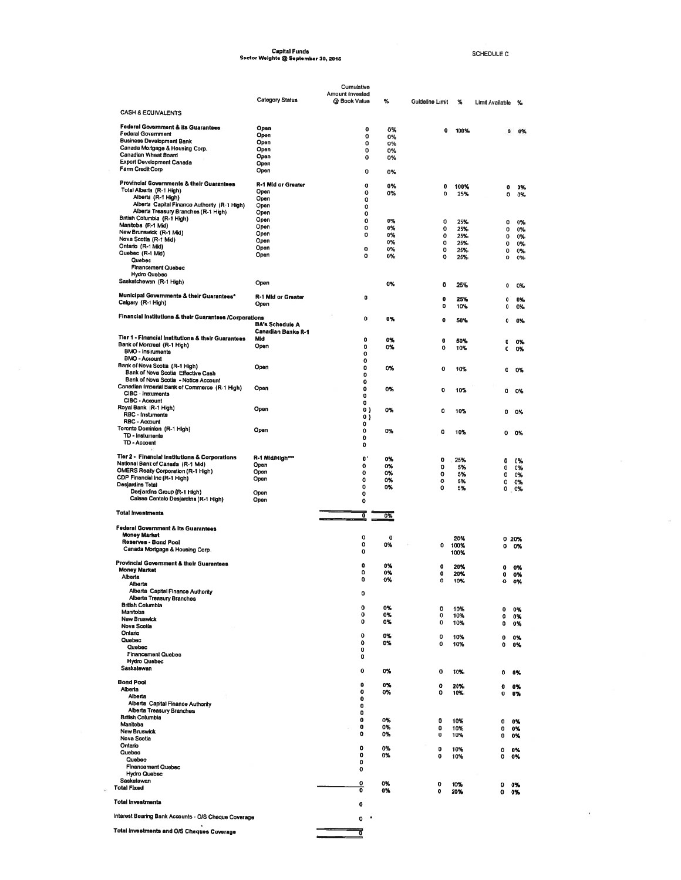# Capital Funds<br>Sector Weights @ September 30, 2015

SCHEDULE C

 $\bar{m}$ 

 $\epsilon$ 

|                                                                                      |                                   | Cumulative                      |             |                  |              |                  |          |
|--------------------------------------------------------------------------------------|-----------------------------------|---------------------------------|-------------|------------------|--------------|------------------|----------|
|                                                                                      | <b>Category Status</b>            | Amount Invested<br>@ Book Value | %           | Guideline Limit  | %            | Limit Available  | ℁        |
| <b>CASH &amp; EQUIVALENTS</b>                                                        |                                   |                                 |             |                  |              |                  |          |
| <b>Federal Government &amp; its Guarantees</b>                                       | Open                              | 0                               | 0%          | 0                | 100%         | ٥                | 0%       |
| <b>Federal Government</b><br><b>Business Development Bank</b>                        | Open<br>Open                      | 0<br>0                          | 0%<br>0%    |                  |              |                  |          |
| Canada Mortgage & Housing Corp.<br>Canadian Wheat Board                              | Open                              | 0                               | 0%          |                  |              |                  |          |
| <b>Export Development Canada</b>                                                     | Open<br>Open                      | 0                               | 0%          |                  |              |                  |          |
| Farm Credit Corp                                                                     | Open                              | 0                               | 0%          |                  |              |                  |          |
| Provincial Governments & their Guarantees                                            | R-1 Mid or Greater                | 0                               | 0%          | o                | 100%         | o                | 0%       |
| Total Alberta (R-1 High)<br>Alberta (R-1 High)                                       | Open<br>Open                      | 0<br>o                          | 0%          | 0                | 25%          | 0                | 0%       |
| Alberta Capital Finance Authority (R-1 High)<br>Alberta Treasury Branches (R-1 High) | Open                              | 0                               |             |                  |              |                  |          |
| British Columbia (R-1 High)                                                          | Open<br>Open                      | 0<br>0                          | 0%          | 0                | 25%          | 0                | 0%       |
| Manitoba (R-1 Mid)<br>New Brunswick (R-1 Mid)                                        | Open<br>Open                      | 0                               | 0%          | 0                | 25%          | 0                | 0%       |
| Nova Scotia (R-1 Mid)                                                                | Open                              | 0                               | 0%<br>0%    | 0<br>0           | 25%<br>25%   | 0<br>0           | 0%<br>0% |
| Ontario (R-1 Mid)<br>Quebec (R-1 Mid)                                                | Open<br>Open                      | 0<br>0                          | 0%<br>0%    | o                | 25%          | 0                | 0%       |
| Quebec<br><b>Financement Quebec</b>                                                  |                                   |                                 |             | $\mathbf{o}$     | 25%          | 0                | 0%       |
| <b>Hydro Quebec</b>                                                                  |                                   |                                 |             |                  |              |                  |          |
| Saskatchewan (R-1 High)                                                              | Open                              |                                 | 0%          | $\Omega$         | 25%          | ٥                | 0%       |
| Municipal Governments & their Guarantees*<br>Calgary (R-1 High)                      | <b>R-1 Mid or Greater</b><br>Open | 0                               |             | 0                | 25%          | $\bullet$        | 0%       |
| Financial Institutions & their Guarantees /Corporations                              |                                   | 0                               |             | 0                | 10%          | ٥                | 0%       |
|                                                                                      | <b>BA's Schedule A</b>            |                                 | 0%          | $\mathbf 0$      | 50%          | 0                | 0%       |
| Tier 1 - Financial Institutions & their Guarantees                                   | <b>Canadian Banks R-1</b><br>Mid  | o                               | 0%          | 0                | 50%          | o                |          |
| Bank of Montreal (R-1 High)<br><b>BMO - Instruments</b>                              | Open                              | 0                               | 0%          | 0                | 10%          | 0                | 0%<br>0% |
| <b>BMO - Account</b>                                                                 |                                   | 0<br>0                          |             |                  |              |                  |          |
| Bank of Nova Scotia (R-1 High)<br>Bank of Nova Scotia Effective Cash                 | Open                              | 0<br>0                          | 0%          | 0                | 10%          | 0                | 0%       |
| Bank of Nova Scotia - Notice Account                                                 |                                   | 0                               |             |                  |              |                  |          |
| Canadian Imperial Bank of Commerce (R-1 High)<br>CIBC - Instuments                   | Open                              | 0<br>o                          | 0%          | 0                | 10%          | o                | 0%       |
| CIBC - Account<br>Royal Bank (R-1 High)                                              |                                   | 0                               |             |                  |              |                  |          |
| RBC - Instuments                                                                     | Open                              | 0)<br>0}                        | 0%          | 0                | 10%          | ٥                | 0%       |
| RBC - Account<br>Toronto Dominion (R-1 High)                                         | Open                              | 0<br>0                          | 0%          |                  |              |                  |          |
| TD - Instuments<br>TD - Account                                                      |                                   | 0                               |             | 0                | 10%          | 0                | 0%       |
|                                                                                      |                                   | 0                               |             |                  |              |                  |          |
| Tier 2 - Financial Institutions & Corporations<br>National Bank of Canada (R-1 Mid)  | R-1 Mid/High***                   | $\mathbf{0}$                    | 0%          | o                | 25%          | 0                | 0%       |
| OMERS Realty Corporation (R-1 High)                                                  | Open<br>Open                      | 0<br>o                          | 0%<br>0%    | 0<br>0           | 5%<br>5%     | 0<br>$\mathbf o$ | 0%<br>0% |
| CDP Financial Inc (R-1 High)<br>Desjardins Total                                     | Open                              | 0<br>o                          | 0%          | 0                | 5%           | 0                | 0%       |
| Desjardins Group (R-1 High)                                                          | Open                              | o                               | 0%          | o                | 5%           | 0                | 0%       |
| Caisse Centale Desjardins (R-1 High)                                                 | Open                              | 0                               |             |                  |              |                  |          |
| <b>Total Investments</b>                                                             |                                   | O                               | 0%          |                  |              |                  |          |
| <b>Federal Government &amp; its Guarantees</b>                                       |                                   |                                 |             |                  |              |                  |          |
| <b>Money Market</b><br>Reserves - Bond Pool                                          |                                   | o<br>٥                          | $\mathbf 0$ |                  | 20%          |                  | 0 20%    |
| Canada Mortgage & Housing Corp.                                                      |                                   | $\mathbf 0$                     | 0%          | o                | 100%<br>100% | 0                | 0%       |
| Provincial Government & their Guarantees                                             |                                   | 0                               | 0%          | 0                | 20%          | 0                |          |
| <b>Money Market</b><br>Alberta                                                       |                                   | 0                               | 0%          | o                | 20%          | Ω                | 0%<br>0% |
| Alberta                                                                              |                                   | o                               | 0%          | ٥                | 10%          | 0                | 0%       |
| Alberta Capital Finance Authority<br><b>Alberta Treasury Branches</b>                |                                   | 0                               |             |                  |              |                  |          |
| <b>British Columbia</b><br>Manitoba                                                  |                                   | 0                               | 0%          | 0                | 10%          | 0                | 0%       |
| New Bruswick                                                                         |                                   | 0<br>0                          | 0%<br>0%    | 0<br>0           | 10%<br>10%   | 0<br>0           | 0%<br>0% |
| <b>Nova Scotia</b><br>Ontario                                                        |                                   | o                               |             |                  |              |                  |          |
| Quebec                                                                               |                                   | 0                               | 0%<br>0%    | 0<br>0           | 10%<br>10%   | 0<br>0           | 0%<br>0% |
| Quebec<br><b>Financement Quebec</b>                                                  |                                   | 0<br>0                          |             |                  |              |                  |          |
| <b>Hydro Quebec</b><br>Saskatewan                                                    |                                   |                                 |             |                  |              |                  |          |
|                                                                                      |                                   | 0                               | 0%          | 0                | 10%          | 0                | 0%       |
| <b>Bond Pool</b><br>Alberta                                                          |                                   | ٥<br>0                          | 0%          | 0                | 20%          | o                | 0%       |
| Alberta                                                                              |                                   | 0                               | 0%          | ٥                | 10%          | 0                | 0%       |
| Alberta Capital Finance Authority<br>Alberta Treasury Branches                       |                                   | 0<br>0                          |             |                  |              |                  |          |
| <b>British Columbia</b><br>Manitoba                                                  |                                   | $\bf o$                         | 0%          | 0                | 10%          | 0                | 0%       |
| <b>New Bruswick</b>                                                                  |                                   | o<br>0                          | 0%<br>0%    | 0<br>$\mathbf 0$ | 10%<br>10%   | ٥<br>0           | 0%<br>0% |
| Nova Scotia<br>Ontario                                                               |                                   | 0                               |             |                  |              |                  |          |
| Quebec                                                                               |                                   | 0                               | 0%<br>0%    | 0<br>0           | 10%<br>10%   | o<br>0           | 0%<br>0% |
| Quebec<br><b>Financement Quebec</b>                                                  |                                   | 0<br>0                          |             |                  |              |                  |          |
| <b>Hydro Quebec</b><br>Saskatewan                                                    |                                   |                                 |             |                  |              |                  |          |
| <b>Total Fixed</b>                                                                   |                                   | 0<br>0                          | 0%<br>0%    | 0<br>0           | 10%<br>20%   | o<br>o           | 0%<br>0% |
| <b>Total Investments</b>                                                             |                                   | 0                               |             |                  |              |                  |          |
| Interest Bearing Bank Accounts - O/S Cheque Coverage                                 |                                   | 0                               |             |                  |              |                  |          |
| Total investments and O/S Cheques Coverage                                           |                                   | 7                               |             |                  |              |                  |          |
|                                                                                      |                                   |                                 |             |                  |              |                  |          |

 $\tilde{\mathcal{A}}_0$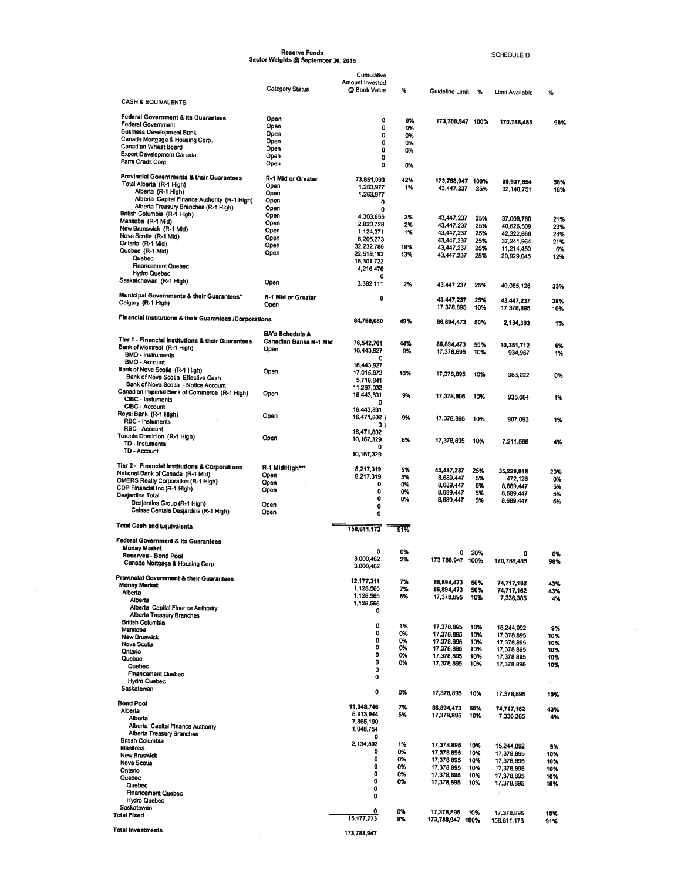|                                                                                                                                                                                                                                                              | Reserve Funds<br>Sector Weights @ September 30, 2015         |                                                                                        |                                        |                                                                                                |                                               | SCHEDULE D                                                                                    |                                                   |
|--------------------------------------------------------------------------------------------------------------------------------------------------------------------------------------------------------------------------------------------------------------|--------------------------------------------------------------|----------------------------------------------------------------------------------------|----------------------------------------|------------------------------------------------------------------------------------------------|-----------------------------------------------|-----------------------------------------------------------------------------------------------|---------------------------------------------------|
|                                                                                                                                                                                                                                                              |                                                              | Cumulative                                                                             |                                        |                                                                                                |                                               |                                                                                               |                                                   |
| <b>CASH &amp; EQUIVALENTS</b>                                                                                                                                                                                                                                | <b>Category Status</b>                                       | Amount Invested<br>@ Book Value                                                        | %                                      | Guideline Limit %                                                                              |                                               | Limit Available                                                                               | %                                                 |
| <b>Federal Government &amp; its Guarantees</b><br>Federal Government<br><b>Business Development Bank</b><br>Canada Mortgage & Housing Corp.<br>Canadian Wheat Board<br>Export Development Canada<br>Farm Credit Corp                                         | Open<br>Open<br>Open<br>Open<br>Open<br>Open                 | ۰<br>0<br>0<br>0<br>0<br>0                                                             | 0%<br>0%<br>0%<br>0%<br>0%             | 173,788,947 100%                                                                               |                                               | 170,788,485                                                                                   | 98%                                               |
| Provincial Governments & their Guarantees<br>Total Alberta (R-1 High)<br>Alberta (R-1 High)                                                                                                                                                                  | Open<br>R-1 Mid or Greater<br>Open<br>Open                   | 0<br>73,851,093<br>1,263,977<br>1,263,977                                              | 0%<br>42%<br>1%                        | 173,788,947 100%<br>43,447,237                                                                 | 25%                                           | 99,937,854<br>32,140,751                                                                      | 58%<br>18%                                        |
| Alberta Capital Finance Authority (R-1 High)<br>Alberta Treasury Branches (R-1 High)<br>British Columbia (R-1 High)<br>Manitoba (R-1 Mid)<br>New Brunswick (R-1 Mid)<br>Nova Scotla (R-1 Mid)<br>Ontario (R-1 Mid)<br>Quebec (R-1 Mid)                       | Open<br>Open<br>Open<br>Open<br>Open<br>Open<br>Open<br>Open | o<br>0<br>4,303,655<br>2,820.728<br>1,124,371<br>6,205,273<br>32,232,786<br>22,518,192 | 2%<br>2%<br>1%<br>19%<br>13%           | 43,447,237<br>43,447.237<br>43,447,237<br>43,447,237<br>43,447,237<br>43,447,237               | 25%<br>25%<br>25%<br>25%<br>25%<br>25%        | 37,008,780<br>40,626,509<br>42,322,866<br>37,241,964<br>11,214,450<br>20,929,045              | 21%<br>23%<br>24%<br>21%<br>6%<br>12%             |
| Quebec<br><b>Financement Quebec</b><br><b>Hydro Quebec</b><br>Saskatchewan (R-1 High)                                                                                                                                                                        | Open                                                         | 18,301,722<br>4,216,470<br>0<br>3,382,111                                              | 2%                                     | 43,447,237                                                                                     | 25%                                           |                                                                                               |                                                   |
| Municipal Governments & their Guarantees*<br>Calgary (R-1 High)                                                                                                                                                                                              | R-1 Mid or Greater<br>Open                                   | ۰                                                                                      |                                        | 43,447,237<br>17,378,895                                                                       | 25%<br>10%                                    | 40,065,126<br>43,447,237<br>17,378,895                                                        | 23%<br>25%<br>10%                                 |
| Financial Institutions & their Guarantees /Corporations                                                                                                                                                                                                      | <b>BA's Schedule A</b>                                       | 84,760,080                                                                             | 49%                                    | 86,894,473                                                                                     | 50%                                           | 2,134,393                                                                                     | 1%                                                |
| Tier 1 - Financial Institutions & their Guarantees<br>Bank of Montreal (R-1 High)<br><b>BMO - Instruments</b><br><b>BMO - Account</b><br>Bank of Nova Scotia (R-1 High)                                                                                      | Canadian Banks R-1 Mid<br>Open<br>Open                       | 76,542,761<br>16,443,927<br>0<br>16,443,927<br>17,015,873                              | 44%<br>9%<br>10%                       | 86,894,473<br>17,378,895<br>17,378,895                                                         | 50%<br>10%<br>10%                             | 10,351,712<br>934,967<br>363,022                                                              | 6%<br>1%<br>0%                                    |
| Bank of Nova Scotia Effective Cash<br>Bank of Nova Scotia - Notice Account<br>Canadian Imperial Bank of Commerce (R-1 High)<br>CIBC - Instuments                                                                                                             | Open                                                         | 5,718,841<br>11,297,032<br>16,443,831<br>n                                             | 9%                                     | 17,378,895                                                                                     | 10%                                           | 935,064                                                                                       | 1%                                                |
| CIBC - Account<br>Royal Bank (R-1 High)<br>RBC - Instuments<br>RBC - Account                                                                                                                                                                                 | Open                                                         | 16,443,831<br>16,471,802 }<br>0 }                                                      | 9%                                     | 17,378,895                                                                                     | 10%                                           | 907,093                                                                                       | 1%                                                |
| Toronto Dominion (R-1 High)<br>TD - Instuments<br>TD - Account                                                                                                                                                                                               | Open                                                         | 16,471,802<br>10,167,329<br>Ω<br>10,167,329                                            | 6%                                     | 17,378,895                                                                                     | 10%                                           | 7,211,566                                                                                     | 4%                                                |
| Tier 2 - Financial Institutions & Corporations<br>National Bank of Canada (R-1 Mid)<br><b>OMERS Realty Corporation (R-1 High)</b><br>CDP Financial Inc (R-1 High)<br>Desjardins Total<br>Desjardins Group (R-1 High)<br>Calsse Centale Desjardins (R-1 High) | R-1 Mid/High***<br>Open<br>Open<br>Open<br>Open<br>Open      | 8,217,319<br>8,217,319<br>0<br>0<br>0<br>0<br>0                                        | 5%<br>5%<br>0%<br>0%<br>0%             | 43,447,237<br>8,689,447<br>8,689,447<br>8,689,447<br>8,689,447                                 | 25%<br>5%<br>5%<br>5%<br>5%                   | 35,229.918<br>472,128<br>8,689,447<br>8,689,447<br>8,689,447                                  | 20%<br>0%<br>5%<br>5%<br>5%                       |
| <b>Total Cash and Equivalents</b><br><b>Federal Government &amp; its Guarantees</b>                                                                                                                                                                          |                                                              | 158,611,173                                                                            | 91%                                    |                                                                                                |                                               |                                                                                               |                                                   |
| <b>Money Market</b><br>Reserves - Bond Pool<br>Canada Mortgage & Housing Corp.                                                                                                                                                                               |                                                              | 0<br>3,000.462<br>3,000,462                                                            | 0%<br>2%                               | 0<br>173,788,947 100%                                                                          | 20%                                           | 0<br>170,788,485                                                                              | 0%<br>98%                                         |
| Provincial Government & their Guarantees<br><b>Money Market</b><br>Alberta<br>Alberta<br>Alberta Capital Finance Authority<br>Alberta Treasury Branches                                                                                                      |                                                              | 12,177,311<br>1,128,565<br>1,128,565<br>1,128,565<br>0                                 | 7%<br>7%<br>6%                         | 86,894,473<br>86,894,473<br>17,378,895                                                         | 50%<br>50%<br>10%                             | 74,717,162<br>74,717,162<br>7,336,385                                                         | 43%<br>43%<br>4%                                  |
| <b>British Columbia</b><br>Manitoba<br><b>New Bruswick</b><br>Nova Scotia<br>Ontario<br>Quebec<br>Quebec<br><b>Financement Quebec</b><br><b>Hydro Quebec</b><br>Saskatewan                                                                                   |                                                              | 0<br>0<br>0<br>0<br>0<br>0<br>0<br>0                                                   | 1%<br>0%<br>0%<br>0%<br>0%<br>0%       | 17,378,895<br>17,378,895<br>17,378,895<br>17,378,895<br>17,378,895<br>17,378,895               | 10%<br>10%<br>10%<br>10%<br>10%<br>10%        | 15,244,092<br>17,378,895<br>17,378,895<br>17,378,895<br>17,378,895<br>17,378,895              | 9%<br>10%<br>10%<br>10%<br>10%<br>10%<br>$\alpha$ |
| <b>Bond Pool</b><br>Alberta                                                                                                                                                                                                                                  |                                                              | 0<br>11,048,746<br>8,913,944                                                           | 0%<br>7%                               | 17,378,895<br>86,894,473                                                                       | 10%<br>50%                                    | 17,378,895<br>74,717,162                                                                      | 10%<br>43%                                        |
| Alberta<br>Alberta Capital Finance Authority<br>Alberta Treasury Branches<br><b>British Columbia</b><br>Manitoba<br><b>New Bruswick</b><br>Nova Scotia<br>Ontario<br>Quebec<br>Quebec<br><b>Financement Quebec</b>                                           |                                                              | 7,865,190<br>1,048,754<br>Ω<br>2,134,802<br>0<br>o<br>0<br>0<br>0<br>0<br>0            | 6%<br>1%<br>0%<br>0%<br>0%<br>0%<br>0% | 17,378,895<br>17,378,895<br>17,378,895<br>17,378,895<br>17,378,895<br>17,378,895<br>17,378,895 | 10%<br>10%<br>10%<br>10%<br>10%<br>10%<br>10% | 7,336,385<br>15,244,092<br>17,378,895<br>17,378,895<br>17,378,895<br>17,378,895<br>17,378,895 | 4%<br>9%<br>10%<br>10%<br>10%<br>10%<br>10%       |
| <b>Hydro Quebec</b><br>Saskatewan<br><b>Total Fixed</b><br><b>Total Investments</b>                                                                                                                                                                          |                                                              | 0<br>15, 177, 773<br>173,788,947                                                       | 0%<br>9%                               | 17,378,895<br>173,788,947 100%                                                                 | 10%                                           | 17,378,895<br>158,611,173                                                                     | 10%<br>91%                                        |
|                                                                                                                                                                                                                                                              |                                                              |                                                                                        |                                        |                                                                                                |                                               |                                                                                               |                                                   |